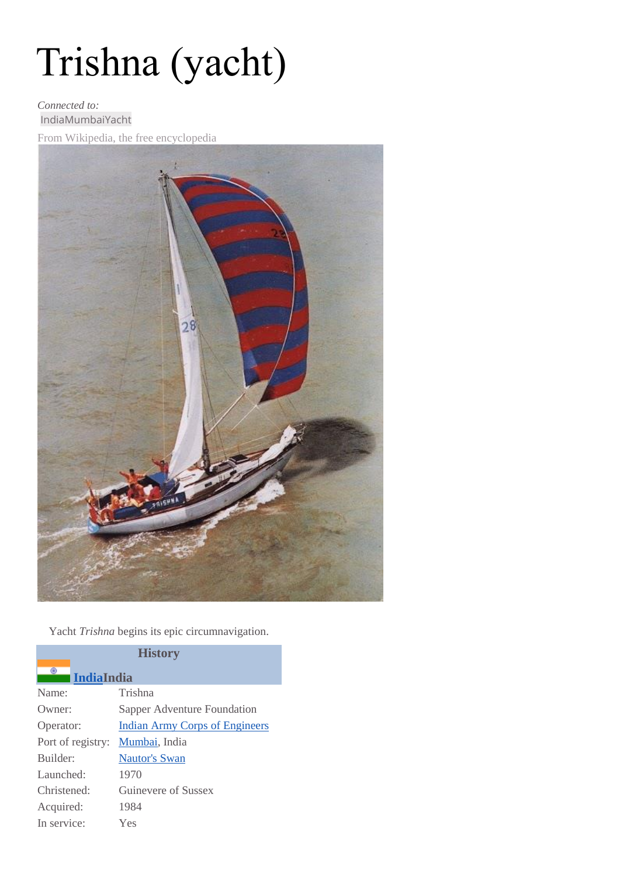# Trishna (yacht)

#### *Connected to:* [IndiaMumbai](http://www.wikiwand.com/en/India)[Yacht](http://www.wikiwand.com/en/Yacht)

From Wikipedia, the free encyclopedia



Yacht *Trishna* begins its epic circumnavigation.

| <b>History</b>         |                                       |  |
|------------------------|---------------------------------------|--|
| ۰<br><b>IndiaIndia</b> |                                       |  |
| Name:                  | Trishna                               |  |
| Owner:                 | Sapper Adventure Foundation           |  |
| Operator:              | <b>Indian Army Corps of Engineers</b> |  |
| Port of registry:      | Mumbai, India                         |  |
| Builder:               | Nautor's Swan                         |  |
| Launched:              | 1970                                  |  |
| Christened:            | Guinevere of Sussex                   |  |
| Acquired:              | 1984                                  |  |
| In service:            | Yes                                   |  |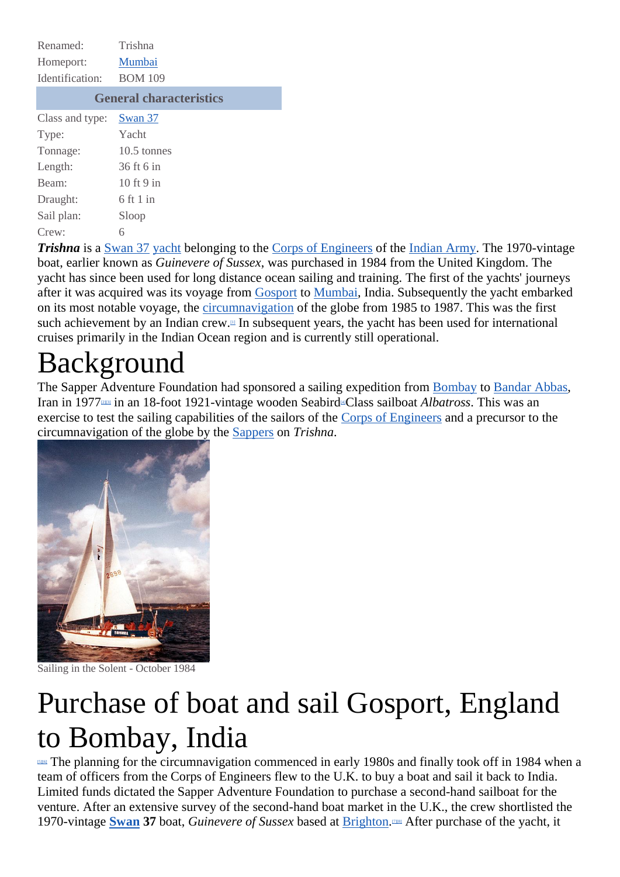| Renamed:                       | Trishna        |
|--------------------------------|----------------|
| Homeport:                      | Mumbai         |
| Identification:                | <b>BOM 109</b> |
| <b>General characteristics</b> |                |
| Class and type:                | Swan 37        |
| Type:                          | Yacht          |
| Tonnage:                       | $10.5$ tonnes  |
| Length:                        | $36$ ft 6 in   |
| Beam:                          | 10 ft 9 in     |
| Draught:                       | $6$ ft 1 in    |
| Sail plan:                     | Sloop          |
| Crew:                          | 6              |

*Trishna* is a [Swan](http://www.wikiwand.com/en/Swan_37) 37 [yacht](http://www.wikiwand.com/en/Yacht) belonging to the Corps of [Engineers](http://www.wikiwand.com/en/Indian_Army_Corps_of_Engineers) of the [Indian](http://www.wikiwand.com/en/Indian_Army) Army. The 1970-vintage boat, earlier known as *Guinevere of Sussex*, was purchased in 1984 from the United Kingdom. The yacht has since been used for long distance ocean sailing and training. The first of the yachts' journeys after it was acquired was its voyage from [Gosport](http://www.wikiwand.com/en/Gosport) to [Mumbai,](http://www.wikiwand.com/en/Mumbai) India. Subsequently the yacht embarked on its most notable voyage, the [circumnavigation](http://www.wikiwand.com/en/Circumnavigation) of the globe from 1985 to 1987. This was the first such achievement by an Indian crew[.](http://www.wikiwand.com/en/Trishna_(yacht)#citenotetelegraphindia1)<sup>[1]</sup> In subsequent years, the yacht has been used for international cruises primarily in the Indian Ocean region and is currently still operational.

### Background

The Sapper Adventure Foundation had sponsored a sailing expedition from [Bombay](http://www.wikiwand.com/en/Bombay) to [Bandar](http://www.wikiwand.com/en/Bandar_Abbas) Abbas, Iran in 1977[\[2\]\[3\]](http://www.wikiwand.com/en/Trishna_(yacht)#citenote2) in an 18-foot 1921-vintage wooden Seabir[d](http://www.wikiwand.com/en/Trishna_(yacht)#citenote4)[4]Class sailboat *Albatross*. This was an exercise to test the sailing capabilities of the sailors of the Corps of [Engineers](http://www.wikiwand.com/en/Indian_Army_Corps_of_Engineers) and a precursor to the circumnavigation of the globe by the [Sappers](http://www.wikiwand.com/en/Sappers) on *Trishna*.



Sailing in the Solent - October 1984

### Purchase of boat and sail Gosport, England to Bombay, India

**EDEG** The planning for the circumnavigation commenced in early 1980s and finally took off in 1984 when a team of officers from the Corps of Engineers flew to the U.K. to buy a boat and sail it back to India. Limited funds dictated the Sapper Adventure Foundation to purchase a second-hand sailboat for the venture. After an extensive survey of the second-hand boat market in the U.K., the crew shortlisted the 1970-vintage **[Swan](http://www.wikiwand.com/en/Nautor%27s_Swan)** 37 boat, *Guinevere of Sussex* based at **Brighton**.<sup>[18]</sup> After purchase of the yacht, it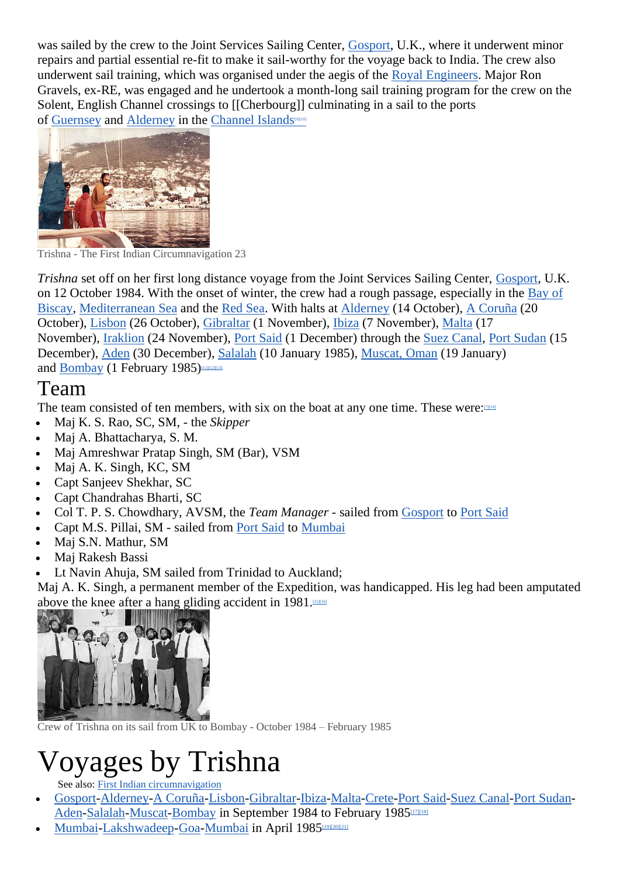was sailed by the crew to the Joint Services Sailing Center, [Gosport,](http://www.wikiwand.com/en/Gosport) U.K., where it underwent minor repairs and partial essential re-fit to make it sail-worthy for the voyage back to India. The crew also underwent sail training, which was organised under the aegis of the Royal [Engineers.](http://www.wikiwand.com/en/Royal_Engineers) Major Ron Gravels, ex-RE, was engaged and he undertook a month-long sail training program for the crew on the Solent, English Channel crossings to [[Cherbourg]] culminating in a sail to the ports of [Guernsey](http://www.wikiwand.com/en/Guernsey) and [Alderney](http://www.wikiwand.com/en/Alderney) in the [Channel](http://www.wikiwand.com/en/Channel_Islands) Islands<sup>[\[9\]\[](http://www.wikiwand.com/en/Channel_Islands)[10\]](http://www.wikiwand.com/en/Trishna_(yacht)#citenote10)</sup>



Trishna - The First Indian Circumnavigation 23

*Trishna* set off on her first long distance voyage from the Joint Services Sailing Center, [Gosport,](http://www.wikiwand.com/en/Gosport) U.K. on 12 October 1984. With the onset of winter, the crew had a rough passage, especially in the [Bay](http://www.wikiwand.com/en/Bay_of_Biscay) of [Biscay,](http://www.wikiwand.com/en/Bay_of_Biscay) [Mediterranean](http://www.wikiwand.com/en/Mediterranean_Sea) Sea and the Red [Sea.](http://www.wikiwand.com/en/Red_Sea) With halts at [Alderney](http://www.wikiwand.com/en/Alderney) (14 October), A [Coruña](http://www.wikiwand.com/en/A_Coru%C3%B1a) (20 October), [Lisbon](http://www.wikiwand.com/en/Lisbon) (26 October), [Gibraltar](http://www.wikiwand.com/en/Gibraltar) (1 November), [Ibiza](http://www.wikiwand.com/en/Ibiza) (7 November), [Malta](http://www.wikiwand.com/en/Malta) (17 November), [Iraklion](http://www.wikiwand.com/en/Iraklion) (24 November), Port [Said](http://www.wikiwand.com/en/Port_Said) (1 December) through the Suez [Canal,](http://www.wikiwand.com/en/Suez_Canal) Port [Sudan](http://www.wikiwand.com/en/Port_Sudan) (15 December), [Aden](http://www.wikiwand.com/en/Aden) (30 December), [Salalah](http://www.wikiwand.com/en/Salalah) (10 January 1985), [Muscat,](http://www.wikiwand.com/en/Muscat,_Oman) Oman (19 January) and [Bombay](http://www.wikiwand.com/en/Bombay) (1 February 1985)

### Team

The team consisted of ten members, with six on the boat at any one time. These were:

- Maj K. S. Rao, SC, SM, the *Skipper*
- Maj A. Bhattacharya, S. M.
- Maj Amreshwar Pratap Singh, SM (Bar), VSM
- Maj A. K. Singh, KC, SM
- Capt Sanjeev Shekhar, SC
- Capt Chandrahas Bharti, SC
- Col T. P. S. Chowdhary, AVSM, the *Team Manager* sailed from [Gosport](http://www.wikiwand.com/en/Gosport) to Port [Said](http://www.wikiwand.com/en/Port_Said)
- Capt M.S. Pillai, SM sailed from Port [Said](http://www.wikiwand.com/en/Port_Said) to [Mumbai](http://www.wikiwand.com/en/Mumbai)
- Maj S.N. Mathur, SM
- Maj Rakesh Bassi
- Lt Navin Ahuja, SM sailed from Trinidad to Auckland;

Maj A. K. Singh, a permanent member of the Expedition, was handicapped. His leg had been amputated above the knee after a hang gliding accident in 1981.<sup>[\[15\]\[16\]](http://www.wikiwand.com/en/Trishna_(yacht)#citenote15)</sup>



Crew of Trishna on its sail from UK to Bombay - October 1984 – February 1985

## Voyages by Trishna

See also: First Indian [circumnavigation](http://www.wikiwand.com/en/First_Indian_circumnavigation)

- [Gosport](http://www.wikiwand.com/en/Gosport)[-Alderney-](http://www.wikiwand.com/en/Alderney)A [Coruña-](http://www.wikiwand.com/en/A_Coru%C3%B1a)[Lisbon](http://www.wikiwand.com/en/Lisbon)[-Gibraltar](http://www.wikiwand.com/en/Gibraltar)[-Ibiza](http://www.wikiwand.com/en/Ibiza)[-Malta-](http://www.wikiwand.com/en/Malta)[Crete-](http://www.wikiwand.com/en/Crete)Port [Said-](http://www.wikiwand.com/en/Port_Said)Suez [Canal-](http://www.wikiwand.com/en/Suez_Canal)Port [Sudan-](http://www.wikiwand.com/en/Port_Sudan)[Aden-](http://www.wikiwand.com/en/Aden)[Salalah](http://www.wikiwand.com/en/Salalah)[-Muscat](http://www.wikiwand.com/en/Muscat,_Oman)[-Bombay](http://www.wikiwand.com/en/Bombay) in September 1984 to February 1985<sup>[\[17\]\[18\]](http://www.wikiwand.com/en/Trishna_(yacht)#citenote17)</sup>
- [Mumbai](http://www.wikiwand.com/en/Mumbai)[-Lakshwadeep-](http://www.wikiwand.com/en/Lakshwadeep)[Goa-](http://www.wikiwand.com/en/Goa)Mumbai in April 1985[\[19\]\[20\]\[](http://www.wikiwand.com/en/Trishna_(yacht)#citenote19)[21\]](http://www.wikiwand.com/en/Trishna_(yacht)#citenote21)